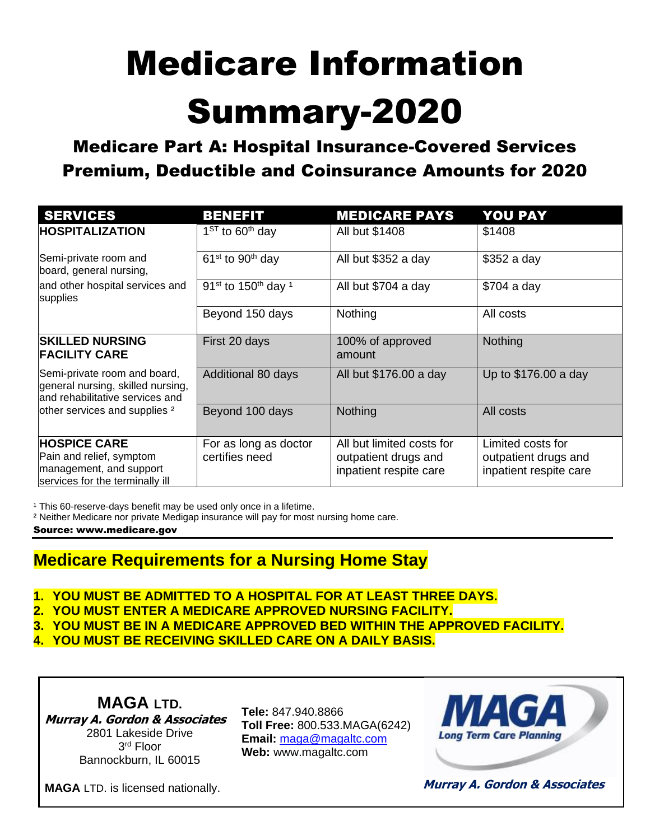# Medicare Information Summary-2020

Medicare Part A: Hospital Insurance-Covered Services Premium, Deductible and Coinsurance Amounts for 2020

| <b>SERVICES</b>                                                                                               | <b>BENEFIT</b>                                         | <b>MEDICARE PAYS</b>                                                        | <b>YOU PAY</b>                                                      |
|---------------------------------------------------------------------------------------------------------------|--------------------------------------------------------|-----------------------------------------------------------------------------|---------------------------------------------------------------------|
| <b>HOSPITALIZATION</b>                                                                                        | $1^{ST}$ to 60 <sup>th</sup> day                       | All but \$1408                                                              | \$1408                                                              |
| Semi-private room and<br>board, general nursing,                                                              | $61st$ to 90 <sup>th</sup> day                         | All but \$352 a day                                                         | \$352 a day                                                         |
| and other hospital services and<br>supplies                                                                   | 91 <sup>st</sup> to 150 <sup>th</sup> day <sup>1</sup> | All but \$704 a day                                                         | $$704$ a day                                                        |
|                                                                                                               | Beyond 150 days                                        | Nothing                                                                     | All costs                                                           |
| <b>SKILLED NURSING</b><br><b>FACILITY CARE</b>                                                                | First 20 days                                          | 100% of approved<br>amount                                                  | <b>Nothing</b>                                                      |
| Semi-private room and board,<br>general nursing, skilled nursing,<br>and rehabilitative services and          | Additional 80 days                                     | All but \$176.00 a day                                                      | Up to \$176.00 a day                                                |
| other services and supplies <sup>2</sup>                                                                      | Beyond 100 days                                        | Nothing                                                                     | All costs                                                           |
| <b>HOSPICE CARE</b><br>Pain and relief, symptom<br>management, and support<br>services for the terminally ill | For as long as doctor<br>certifies need                | All but limited costs for<br>outpatient drugs and<br>inpatient respite care | Limited costs for<br>outpatient drugs and<br>inpatient respite care |

<sup>1</sup> This 60-reserve-days benefit may be used only once in a lifetime.

² Neither Medicare nor private Medigap insurance will pay for most nursing home care.

Source: [www.medicare.gov](http://www.medicare.gov/)

### **Medicare Requirements for a Nursing Home Stay**

- **1. YOU MUST BE ADMITTED TO A HOSPITAL FOR AT LEAST THREE DAYS.**
- **2. YOU MUST ENTER A MEDICARE APPROVED NURSING FACILITY.**
- **3. YOU MUST BE IN A MEDICARE APPROVED BED WITHIN THE APPROVED FACILITY.**
- **4. YOU MUST BE RECEIVING SKILLED CARE ON A DAILY BASIS.**

**MAGA LTD. Murray A. Gordon & Associates** 2801 Lakeside Drive 3 rd Floor Bannockburn, IL 60015

**Tele:** 847.940.8866 **Toll Free:** 800.533.MAGA(6242) **Email:** [maga@magaltc.com](mailto:maga@magaltc.com) **Web:** www.magaltc.com



**MAGA** LTD. is licensed nationally.